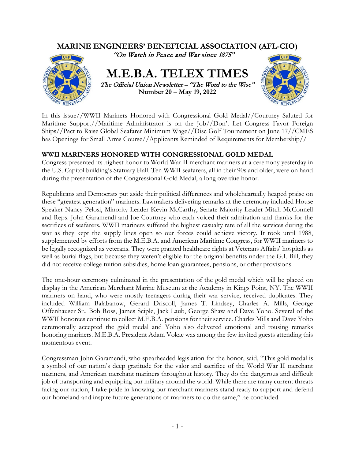

In this issue//WWII Mariners Honored with Congressional Gold Medal//Courtney Saluted for Maritime Support//Maritime Administrator is on the Job//Don't Let Congress Favor Foreign Ships//Pact to Raise Global Seafarer Minimum Wage//Disc Golf Tournament on June 17//CMES has Openings for Small Arms Course//Applicants Reminded of Requirements for Membership//

## **WWII MARINERS HONORED WITH CONGRESSIONAL GOLD MEDAL**

Congress presented its highest honor to World War II merchant mariners at a ceremony yesterday in the U.S. Capitol building's Statuary Hall. Ten WWII seafarers, all in their 90s and older, were on hand during the presentation of the Congressional Gold Medal, a long overdue honor.

Republicans and Democrats put aside their political differences and wholeheartedly heaped praise on these "greatest generation" mariners. Lawmakers delivering remarks at the ceremony included House Speaker Nancy Pelosi, Minority Leader Kevin McCarthy, Senate Majority Leader Mitch McConnell and Reps. John Garamendi and Joe Courtney who each voiced their admiration and thanks for the sacrifices of seafarers. WWII mariners suffered the highest casualty rate of all the services during the war as they kept the supply lines open so our forces could achieve victory. It took until 1988, supplemented by efforts from the M.E.B.A. and American Maritime Congress, for WWII mariners to be legally recognized as veterans. They were granted healthcare rights at Veterans Affairs' hospitals as well as burial flags, but because they weren't eligible for the original benefits under the G.I. Bill, they did not receive college tuition subsidies, home loan guarantees, pensions, or other provisions.

The one-hour ceremony culminated in the presentation of the gold medal which will be placed on display in the American Merchant Marine Museum at the Academy in Kings Point, NY. The WWII mariners on hand, who were mostly teenagers during their war service, received duplicates. They included William Balabanow, Gerard Driscoll, James T. Lindsey, Charles A. Mills, George Offenhauser Sr., Bob Ross, James Sciple, Jack Laub, George Shaw and Dave Yoho. Several of the WWII honorees continue to collect M.E.B.A. pensions for their service. Charles Mills and Dave Yoho ceremonially accepted the gold medal and Yoho also delivered emotional and rousing remarks honoring mariners. M.E.B.A. President Adam Vokac was among the few invited guests attending this momentous event.

Congressman John Garamendi, who spearheaded legislation for the honor, said, "This gold medal is a symbol of our nation's deep gratitude for the valor and sacrifice of the World War II merchant mariners, and American merchant mariners throughout history. They do the dangerous and difficult job of transporting and equipping our military around the world. While there are many current threats facing our nation, I take pride in knowing our merchant mariners stand ready to support and defend our homeland and inspire future generations of mariners to do the same," he concluded.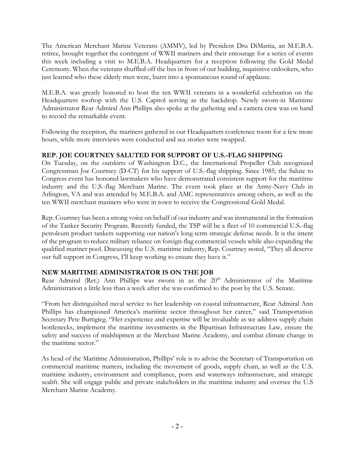The American Merchant Marine Veterans (AMMV), led by President Dru DiMattia, an M.E.B.A. retiree, brought together the contingent of WWII mariners and their entourage for a series of events this week including a visit to M.E.B.A. Headquarters for a reception following the Gold Medal Ceremony. When the veterans shuffled off the bus in front of our building, inquisitive onlookers, who just learned who these elderly men were, burst into a spontaneous round of applause.

M.E.B.A. was greatly honored to host the ten WWII veterans in a wonderful celebration on the Headquarters rooftop with the U.S. Capitol serving as the backdrop. Newly sworn-in Maritime Administrator Rear Admiral Ann Phillips also spoke at the gathering and a camera crew was on hand to record the remarkable event.

Following the reception, the mariners gathered in our Headquarters conference room for a few more hours, while more interviews were conducted and sea stories were swapped.

## **REP. JOE COURTNEY SALUTED FOR SUPPORT OF U.S.-FLAG SHIPPING**

On Tuesday, on the outskirts of Washington D.C., the International Propeller Club recognized Congressman Joe Courtney (D-CT) for his support of U.S.-flag shipping. Since 1985, the Salute to Congress event has honored lawmakers who have demonstrated consistent support for the maritime industry and the U.S.-flag Merchant Marine. The event took place at the Army-Navy Club in Arlington, VA and was attended by M.E.B.A. and AMC representatives among others, as well as the ten WWII merchant mariners who were in town to receive the Congressional Gold Medal.

Rep. Courtney has been a strong voice on behalf of our industry and was instrumental in the formation of the Tanker Security Program. Recently funded, the TSP will be a fleet of 10 commercial U.S.-flag petroleum product tankers supporting our nation's long-term strategic defense needs. It is the intent of the program to reduce military reliance on foreign-flag commercial vessels while also expanding the qualified mariner pool. Discussing the U.S. maritime industry, Rep. Courtney noted, "They all deserve our full support in Congress, I'll keep working to ensure they have it."

## **NEW MARITIME ADMINISTRATOR IS ON THE JOB**

Rear Admiral (Ret.) Ann Phillips was sworn in as the  $20<sup>th</sup>$  Administrator of the Maritime Administration a little less than a week after she was confirmed to the post by the U.S. Senate.

"From her distinguished naval service to her leadership on coastal infrastructure, Rear Admiral Ann Phillips has championed America's maritime sector throughout her career," said Transportation Secretary Pete Buttigieg. "Her experience and expertise will be invaluable as we address supply chain bottlenecks, implement the maritime investments in the Bipartisan Infrastructure Law, ensure the safety and success of midshipmen at the Merchant Marine Academy, and combat climate change in the maritime sector."

As head of the Maritime Administration, Phillips' role is to advise the Secretary of Transportation on commercial maritime matters, including the movement of goods, supply chain, as well as the U.S. maritime industry, environment and compliance, ports and waterways infrastructure, and strategic sealift. She will engage public and private stakeholders in the maritime industry and oversee the U.S Merchant Marine Academy.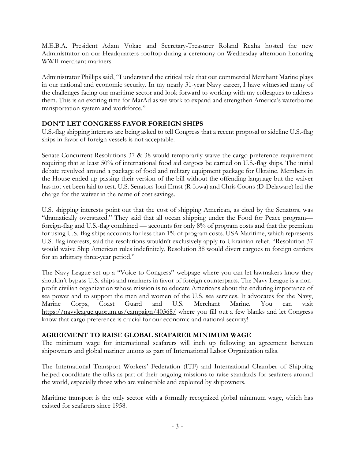M.E.B.A. President Adam Vokac and Secretary-Treasurer Roland Rexha hosted the new Administrator on our Headquarters rooftop during a ceremony on Wednesday afternoon honoring WWII merchant mariners.

Administrator Phillips said, "I understand the critical role that our commercial Merchant Marine plays in our national and economic security. In my nearly 31-year Navy career, I have witnessed many of the challenges facing our maritime sector and look forward to working with my colleagues to address them. This is an exciting time for MarAd as we work to expand and strengthen America's waterborne transportation system and workforce."

## **DON'T LET CONGRESS FAVOR FOREIGN SHIPS**

U.S.-flag shipping interests are being asked to tell Congress that a recent proposal to sideline U.S.-flag ships in favor of foreign vessels is not acceptable.

Senate Concurrent Resolutions 37 & 38 would temporarily waive the cargo preference requirement requiring that at least 50% of international food aid cargoes be carried on U.S.-flag ships. The initial debate revolved around a package of food and military equipment package for Ukraine. Members in the House ended up passing their version of the bill without the offending language but the waiver has not yet been laid to rest. U.S. Senators Joni Ernst (R-Iowa) and Chris Coons (D-Delaware) led the charge for the waiver in the name of cost savings.

U.S. shipping interests point out that the cost of shipping American, as cited by the Senators, was "dramatically overstated." They said that all ocean shipping under the Food for Peace program foreign-flag and U.S.-flag combined — accounts for only 8% of program costs and that the premium for using U.S.-flag ships accounts for less than 1% of program costs. USA Maritime, which represents U.S.-flag interests, said the resolutions wouldn't exclusively apply to Ukrainian relief. "Resolution 37 would waive Ship American rules indefinitely, Resolution 38 would divert cargoes to foreign carriers for an arbitrary three-year period."

The Navy League set up a "Voice to Congress" webpage where you can let lawmakers know they shouldn't bypass U.S. ships and mariners in favor of foreign counterparts. The Navy League is a nonprofit civilian organization whose mission is to educate Americans about the enduring importance of sea power and to support the men and women of the U.S. sea services. It advocates for the Navy, Marine Corps, Coast Guard and U.S. Merchant Marine. You can visit <https://navyleague.quorum.us/campaign/40368/> where you fill out a few blanks and let Congress know that cargo preference is crucial for our economic and national security!

## **AGREEMENT TO RAISE GLOBAL SEAFARER MINIMUM WAGE**

The minimum wage for international seafarers will inch up following an agreement between shipowners and global mariner unions as part of International Labor Organization talks.

The International Transport Workers' Federation (ITF) and International Chamber of Shipping helped coordinate the talks as part of their ongoing missions to raise standards for seafarers around the world, especially those who are vulnerable and exploited by shipowners.

Maritime transport is the only sector with a formally recognized global minimum wage, which has existed for seafarers since 1958.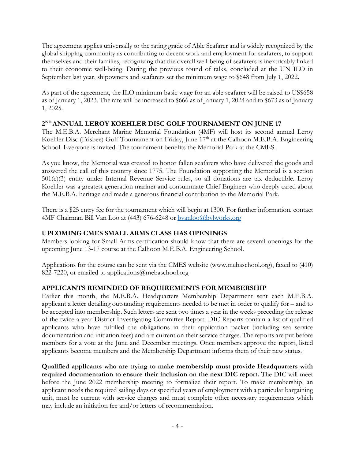The agreement applies universally to the rating grade of Able Seafarer and is widely recognized by the global shipping community as contributing to decent work and employment for seafarers, to support themselves and their families, recognizing that the overall well-being of seafarers is inextricably linked to their economic well-being. During the previous round of talks, concluded at the UN ILO in September last year, shipowners and seafarers set the minimum wage to \$648 from July 1, 2022.

As part of the agreement, the ILO minimum basic wage for an able seafarer will be raised to US\$658 as of January 1, 2023. The rate will be increased to \$666 as of January 1, 2024 and to \$673 as of January 1, 2025.

## **2ND ANNUAL LEROY KOEHLER DISC GOLF TOURNAMENT ON JUNE 17**

The M.E.B.A. Merchant Marine Memorial Foundation (4MF) will host its second annual Leroy Koehler Disc (Frisbee) Golf Tournament on Friday, June 17<sup>th</sup> at the Calhoon M.E.B.A. Engineering School. Everyone is invited. The tournament benefits the Memorial Park at the CMES.

As you know, the Memorial was created to honor fallen seafarers who have delivered the goods and answered the call of this country since 1775. The Foundation supporting the Memorial is a section 501(c)(3) entity under Internal Revenue Service rules, so all donations are tax deductible. Leroy Koehler was a greatest generation mariner and consummate Chief Engineer who deeply cared about the M.E.B.A. heritage and made a generous financial contribution to the Memorial Park.

There is a \$25 entry fee for the tournament which will begin at 1300. For further information, contact 4MF Chairman Bill Van Loo at (443) 676-6248 or [bvanloo@bvlworks.org](mailto:bvanloo@bvlworks.org)

## **UPCOMING CMES SMALL ARMS CLASS HAS OPENINGS**

Members looking for Small Arms certification should know that there are several openings for the upcoming June 13-17 course at the Calhoon M.E.B.A. Engineering School.

Applications for the course can be sent via the CMES website (www.mebaschool.org), faxed to (410) 822-7220, or emailed to applications@mebaschool.org

# **APPLICANTS REMINDED OF REQUIREMENTS FOR MEMBERSHIP**

Earlier this month, the M.E.B.A. Headquarters Membership Department sent each M.E.B.A. applicant a letter detailing outstanding requirements needed to be met in order to qualify for – and to be accepted into membership. Such letters are sent two times a year in the weeks preceding the release of the twice-a-year District Investigating Committee Report. DIC Reports contain a list of qualified applicants who have fulfilled the obligations in their application packet (including sea service documentation and initiation fees) and are current on their service charges. The reports are put before members for a vote at the June and December meetings. Once members approve the report, listed applicants become members and the Membership Department informs them of their new status.

**Qualified applicants who are trying to make membership must provide Headquarters with required documentation to ensure their inclusion on the next DIC report.** The DIC will meet before the June 2022 membership meeting to formalize their report. To make membership, an applicant needs the required sailing days or specified years of employment with a particular bargaining unit, must be current with service charges and must complete other necessary requirements which may include an initiation fee and/or letters of recommendation.